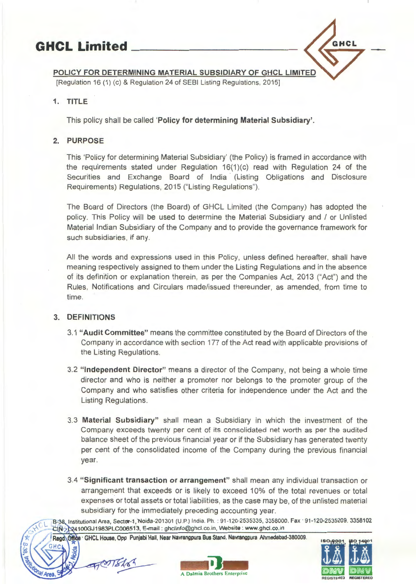

### POLICY FOR DETERMINING MATERIAL SUBSIDIARY OF GHCL LIMITED

[Regulation 16 (1) (c) & Regulation 24 of SEBI Listing Regulations, 2015]

## 1. TITLE

This policy shall be called 'Policy for determining Material Subsidiary'.

# 2. PURPOSE

This 'Policy for determining Material Subsidiary' (the Policy) is framed in accordance with the requirements stated under Regulation  $16(1)(c)$  read with Regulation 24 of the Securities and Exchange Board of India (Listing Obligations and Disclosure Requirements) Regulations, 2015 ("Listing Regulations").

The Board of Directors (the Board) of GHCL Limited (the Company) has adopted the policy. This Policy will be used to determine the Material Subsidiary and / or Unlisted Material Indian Subsidiary of the Company and to provide the governance framework for such subsidiaries, if any.

All the words and expressions used in this Policy, unless defined hereafter, shall have meaning respectively assigned to them under the Listing Regulations and in the absence of its definition or explanation therein, as per the Companies Act, 2013 ("Act") and the Rules, Notifications and Circulars made/issued thereunder, as amended, from time to time.

# 3. DEFINITIONS

- 3.1 "Audit Committee" means the committee constituted by the Board of Directors of the Company in accordance with section 177 of the Act read with applicable provisions of the Listing Regulations.
- 3.2 "Independent Director" means a director of the Company, not being a whole time director and who is neither a promoter nor belongs to the promoter group of the Company and who satisfies other criteria for independence under the Act and the Listing Regulations.
- 3.3 Material Subsidiary" shall mean a Subsidiary in which the investment of the Company exceeds twenty per cent of its consolidated net worth as per the audited balance sheet of the previous financial year or if the Subsidiary has generated twenty per cent of the consolidated income of the Company during the previous financial year.
- 3.4 "Significant transaction or arrangement" shall mean any individual transaction or arrangement that exceeds or is likely to exceed 10% of the total revenues or total expenses or total assets or total liabilities, as the case may be, of the unlisted material subsidiary for the immediately preceding accounting year.

B-38, Institutional Area, Sector-1, Noida-201301 (U.P.) India. Ph. : 91-120-2535335, 3358000, Fax · 91-120-2535209, 3358102 CIN 224100GJ1983PLC006513, E-mail: ghclinfo@ghcl.co.in, Website: www.ghcl.co.in CIN<sub>2</sub> C24100GJ1983PLC006513, E-mail : ghclinfo@ghcl.co.in, Website : www.ghcl.co.in<br>Regd. Office GHCL House, Opp Punjabi Hall, Near Navrangpura Bus Stand, Navrangpura Ahmedabad-380009.<br>GHCL ISLAND CHCL House, Opp Punjabi

Regd Office · GHCL House, Opp Punjabi Hall, Near Navrangpura Bus Stand, Navrangpura Ahmedabad-380009.